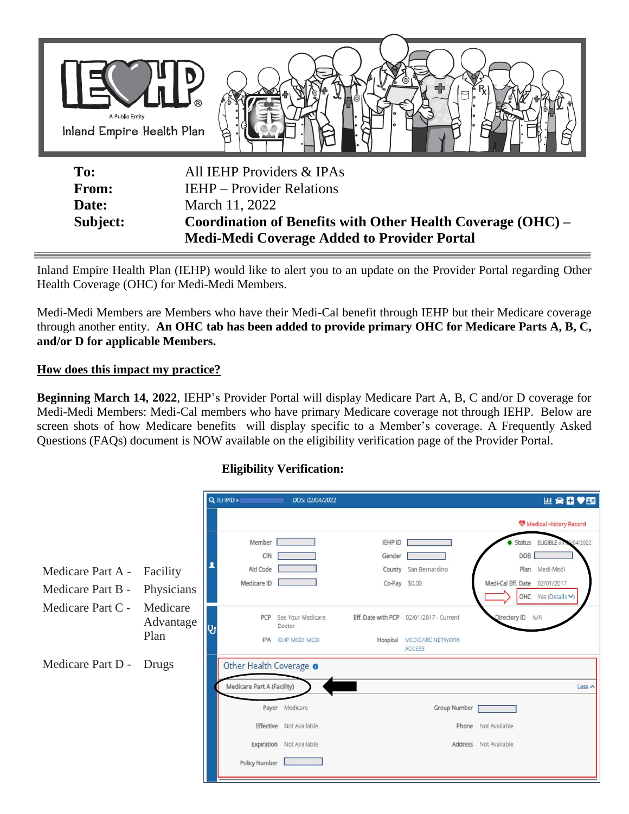

| <b>Date:</b>    | March 11, 2022                                              |  |  |  |  |  |
|-----------------|-------------------------------------------------------------|--|--|--|--|--|
| <b>Subject:</b> | Coordination of Benefits with Other Health Coverage (OHC) – |  |  |  |  |  |
|                 | <b>Medi-Medi Coverage Added to Provider Portal</b>          |  |  |  |  |  |

Inland Empire Health Plan (IEHP) would like to alert you to an update on the Provider Portal regarding Other Health Coverage (OHC) for Medi-Medi Members.

Medi-Medi Members are Members who have their Medi-Cal benefit through IEHP but their Medicare coverage through another entity. **An OHC tab has been added to provide primary OHC for Medicare Parts A, B, C, and/or D for applicable Members.**

## **How does this impact my practice?**

**Beginning March 14, 2022**, IEHP's Provider Portal will display Medicare Part A, B, C and/or D coverage for Medi-Medi Members: Medi-Cal members who have primary Medicare coverage not through IEHP. Below are screen shots of how Medicare benefits will display specific to a Member's coverage. A Frequently Asked Questions (FAQs) document is NOW available on the eligibility verification page of the Provider Portal.

|                   |                       | Q IEHPID »                 | DOS: 02/04/2022             |                    |                                          |                               | 四角日♥田                           |
|-------------------|-----------------------|----------------------------|-----------------------------|--------------------|------------------------------------------|-------------------------------|---------------------------------|
|                   |                       |                            |                             |                    |                                          |                               | Medical History Record          |
|                   |                       | Member                     |                             | IEHP ID            |                                          |                               | Status ELIGIBLE or<br>2/04/2022 |
|                   |                       | CIN                        |                             | Gender             |                                          | DOB                           |                                 |
| Medicare Part A - | Facility              | Aid Code                   |                             |                    | County San Bernardino                    |                               | Plan Medi-Medi                  |
| Medicare Part B - | Physicians            | Medicare ID                |                             | Co-Pay \$0.00      |                                          | Medi-Cal Eff. Date 02/01/2017 |                                 |
|                   |                       |                            |                             |                    |                                          |                               | OHC Yes (Details v)             |
| Medicare Part C - | Medicare<br>Advantage | PCP                        | See Your Medicare<br>Doctor | Eff. Date with PCP | 02/01/2017 - Current                     | Directory ID N/A              |                                 |
|                   | Plan                  |                            | <b>IPA IEHP MEDI-MEDI</b>   | Hospital           | <b>MEDICARE NETWORK</b><br><b>ACCESS</b> |                               |                                 |
| Medicare Part D - | Drugs                 | Other Health Coverage o    |                             |                    |                                          |                               |                                 |
|                   |                       | Medicare Part A (Facility) |                             |                    |                                          |                               | Less ^                          |
|                   |                       |                            | Payer Medicare              |                    | <b>Group Number</b>                      |                               |                                 |
|                   |                       |                            | Effective Not Available     |                    |                                          | Phone Not Available           |                                 |
|                   |                       |                            | Expiration Not Available    |                    |                                          | Address Not Available         |                                 |
|                   |                       | Policy Number              |                             |                    |                                          |                               |                                 |
|                   |                       |                            |                             |                    |                                          |                               |                                 |

## **Eligibility Verification:**